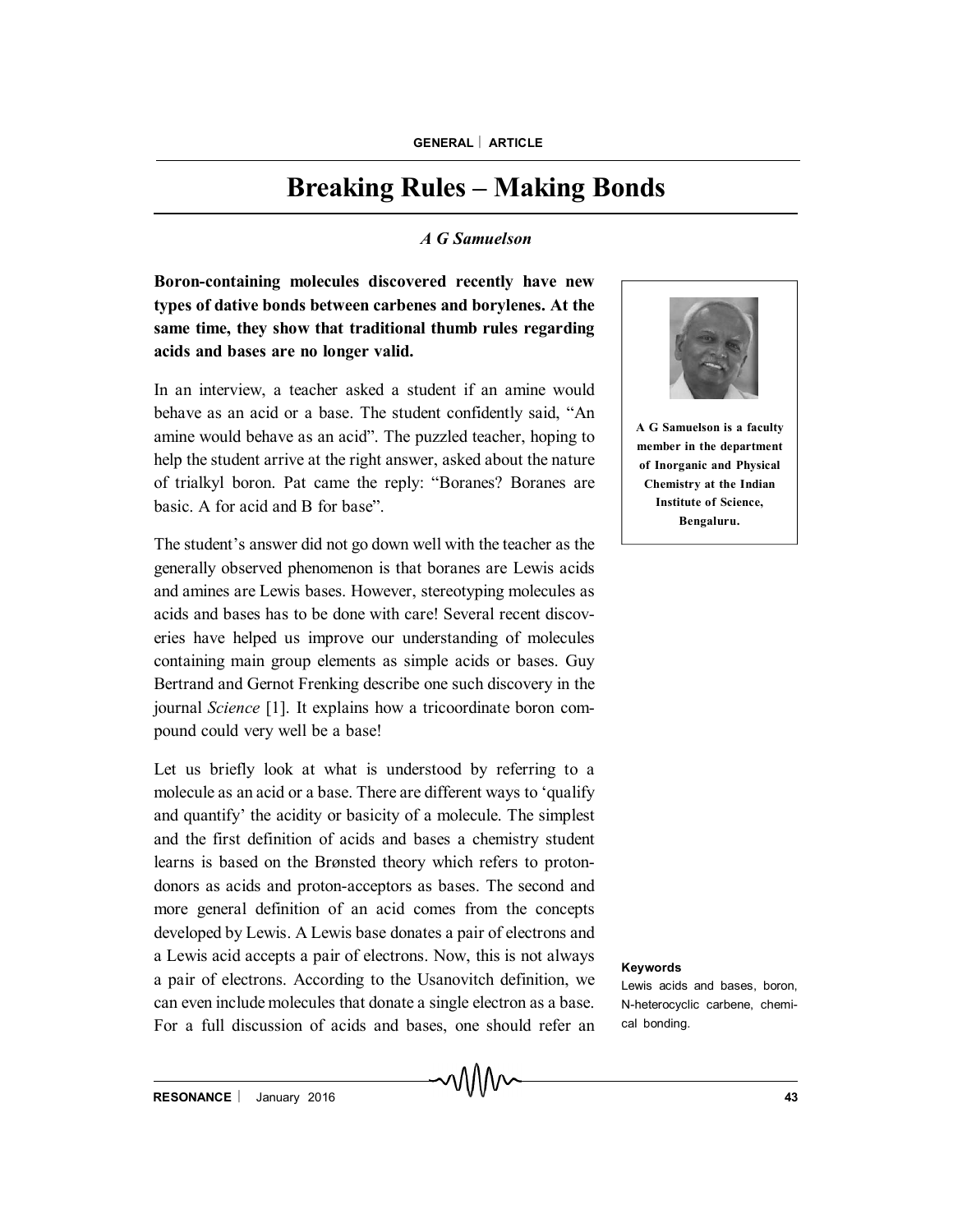## **Breaking Rules – Making Bonds**

## *A G Samuelson*

**Boron-containing molecules discovered recently have new types of dative bonds between carbenes and borylenes. At the same time, they show that traditional thumb rules regarding acids and bases are no longer valid.**

In an interview, a teacher asked a student if an amine would behave as an acid or a base. The student confidently said, "An amine would behave as an acid". The puzzled teacher, hoping to help the student arrive at the right answer, asked about the nature of trialkyl boron. Pat came the reply: "Boranes? Boranes are basic. A for acid and B for base".

The student's answer did not go down well with the teacher as the generally observed phenomenon is that boranes are Lewis acids and amines are Lewis bases. However, stereotyping molecules as acids and bases has to be done with care! Several recent discoveries have helped us improve our understanding of molecules containing main group elements as simple acids or bases. Guy Bertrand and Gernot Frenking describe one such discovery in the journal *Science* [1]. It explains how a tricoordinate boron compound could very well be a base!

Let us briefly look at what is understood by referring to a molecule as an acid or a base. There are different ways to 'qualify and quantify' the acidity or basicity of a molecule. The simplest and the first definition of acids and bases a chemistry student learns is based on the Brønsted theory which refers to protondonors as acids and proton-acceptors as bases. The second and more general definition of an acid comes from the concepts developed by Lewis. A Lewis base donates a pair of electrons and a Lewis acid accepts a pair of electrons. Now, this is not always a pair of electrons. According to the Usanovitch definition, we can even include molecules that donate a single electron as a base. For a full discussion of acids and bases, one should refer an



**A G Samuelson is a faculty member in the department of Inorganic and Physical Chemistry at the Indian Institute of Science, Bengaluru.**

## **Keywords**

Lewis acids and bases, boron, N-heterocyclic carbene, chemical bonding.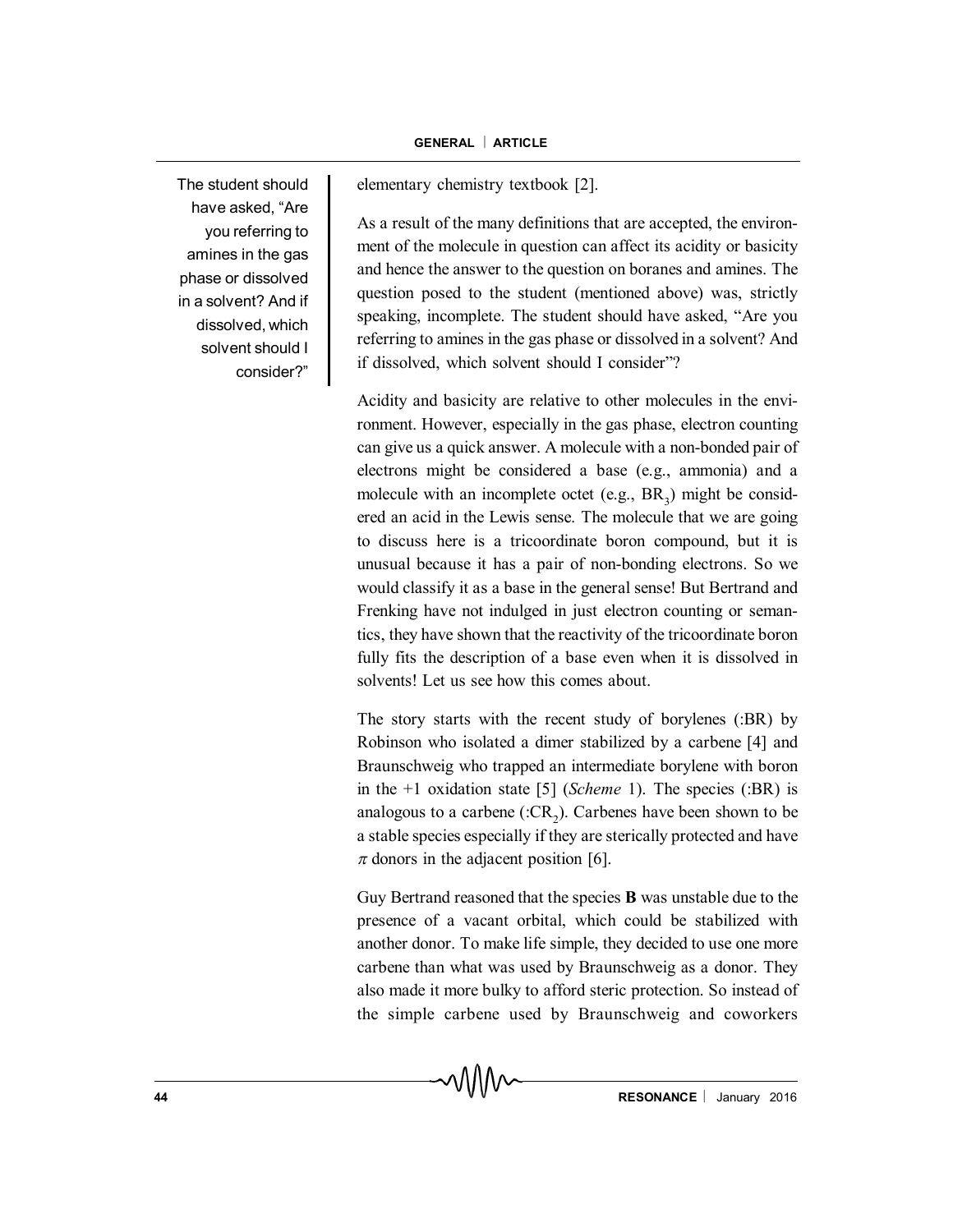The student should have asked, "Are you referring to amines in the gas phase or dissolved in a solvent? And if dissolved, which solvent should I consider?"

elementary chemistry textbook [2].

As a result of the many definitions that are accepted, the environment of the molecule in question can affect its acidity or basicity and hence the answer to the question on boranes and amines. The question posed to the student (mentioned above) was, strictly speaking, incomplete. The student should have asked, "Are you referring to amines in the gas phase or dissolved in a solvent? And if dissolved, which solvent should I consider"?

Acidity and basicity are relative to other molecules in the environment. However, especially in the gas phase, electron counting can give us a quick answer. A molecule with a non-bonded pair of electrons might be considered a base (e.g., ammonia) and a molecule with an incomplete octet (e.g.,  $BR_3$ ) might be considered an acid in the Lewis sense. The molecule that we are going to discuss here is a tricoordinate boron compound, but it is unusual because it has a pair of non-bonding electrons. So we would classify it as a base in the general sense! But Bertrand and Frenking have not indulged in just electron counting or semantics, they have shown that the reactivity of the tricoordinate boron fully fits the description of a base even when it is dissolved in solvents! Let us see how this comes about.

The story starts with the recent study of borylenes (:BR) by Robinson who isolated a dimer stabilized by a carbene [4] and Braunschweig who trapped an intermediate borylene with boron in the +1 oxidation state [5] (*Scheme* 1). The species (:BR) is analogous to a carbene (: $CR_2$ ). Carbenes have been shown to be a stable species especially if they are sterically protected and have  $\pi$  donors in the adjacent position [6].

Guy Bertrand reasoned that the species **B** was unstable due to the presence of a vacant orbital, which could be stabilized with another donor. To make life simple, they decided to use one more carbene than what was used by Braunschweig as a donor. They also made it more bulky to afford steric protection. So instead of the simple carbene used by Braunschweig and coworkers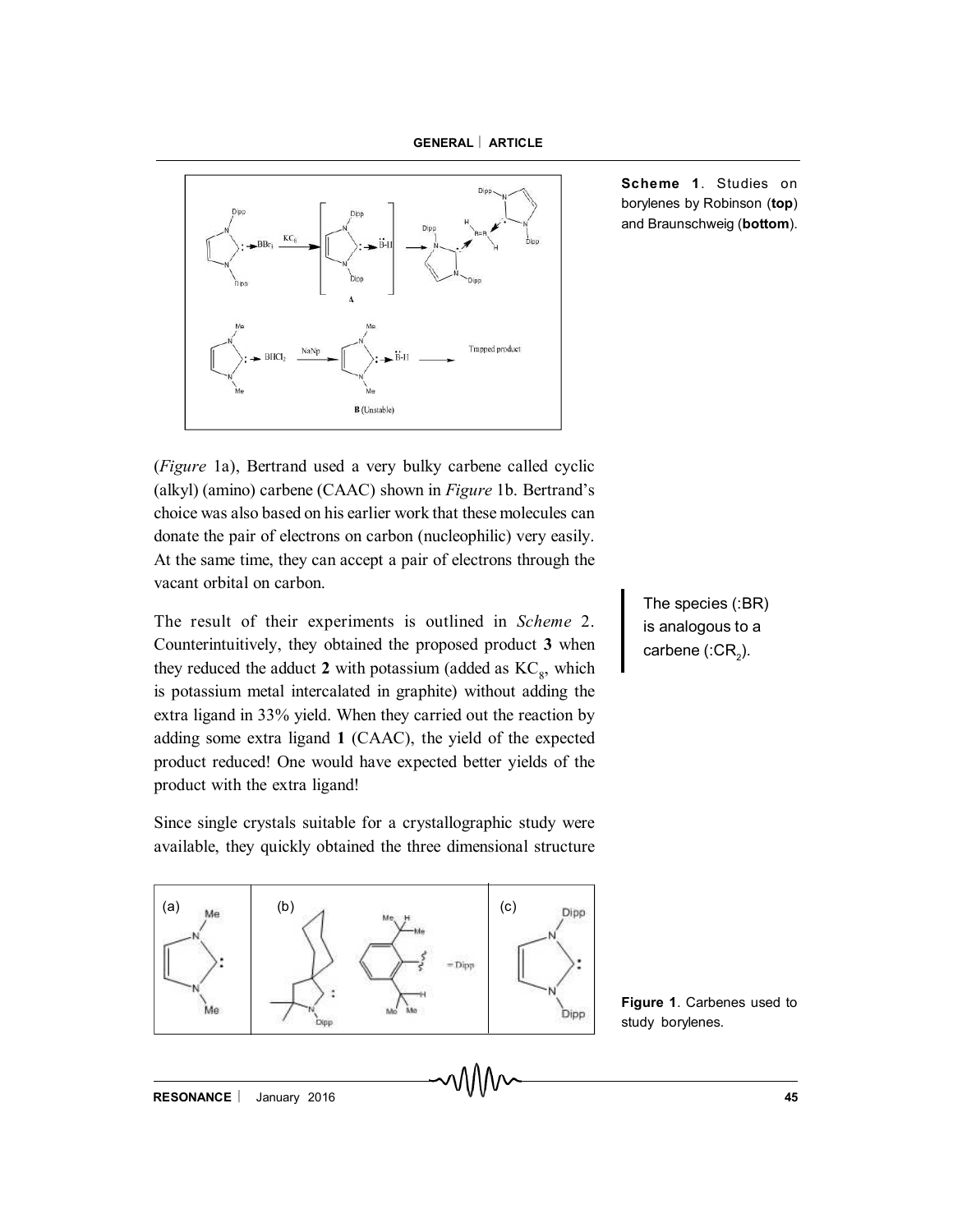

**Scheme 1**. Studies on borylenes by Robinson (**top**) and Braunschweig (**bottom**).

(*Figure* 1a), Bertrand used a very bulky carbene called cyclic (alkyl) (amino) carbene (CAAC) shown in *Figure* 1b. Bertrand's choice was also based on his earlier work that these molecules can donate the pair of electrons on carbon (nucleophilic) very easily. At the same time, they can accept a pair of electrons through the vacant orbital on carbon.

The result of their experiments is outlined in *Scheme* 2. Counterintuitively, they obtained the proposed product **3** when they reduced the adduct  $2$  with potassium (added as  $KC_{8}$ , which is potassium metal intercalated in graphite) without adding the extra ligand in 33% yield. When they carried out the reaction by adding some extra ligand **1** (CAAC), the yield of the expected product reduced! One would have expected better yields of the product with the extra ligand!

Since single crystals suitable for a crystallographic study were available, they quickly obtained the three dimensional structure



The species (:BR) is analogous to a carbene (:CR $_2$ ).

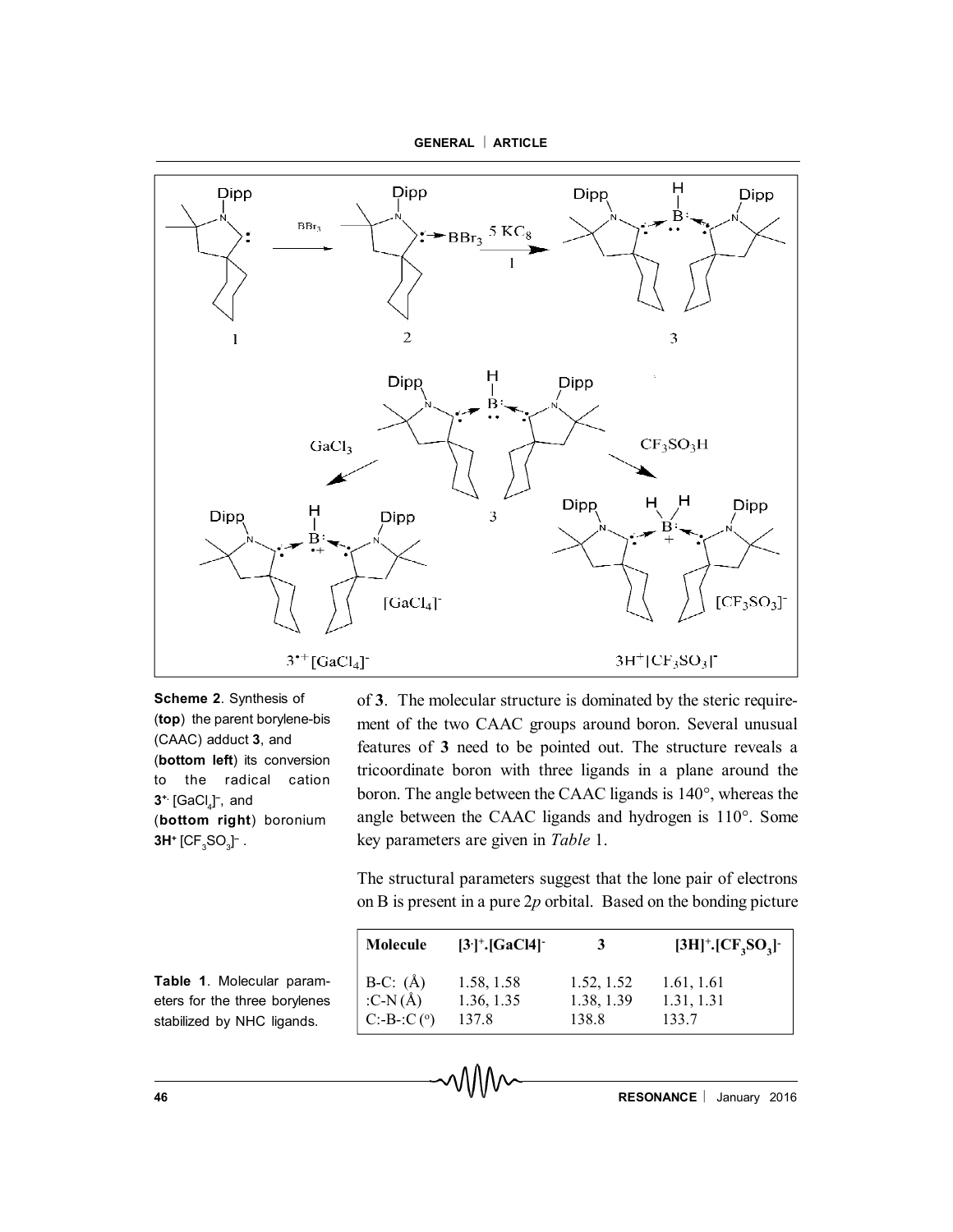

**Scheme 2**. Synthesis of (**top**) the parent borylene-bis (CAAC) adduct **3**, and (**bottom left**) its conversion to the radical cation **3**<sup>+</sup> [GaCl<sub>4</sub>] , and (**bottom right**) boronium **3H**+ [CF $_{3}$ SO $_{3}$ ]<sup>–</sup> .

of **3**. The molecular structure is dominated by the steric requirement of the two CAAC groups around boron. Several unusual features of **3** need to be pointed out. The structure reveals a tricoordinate boron with three ligands in a plane around the boron. The angle between the CAAC ligands is 140°, whereas the angle between the CAAC ligands and hydrogen is 110°. Some key parameters are given in *Table* 1.

The structural parameters suggest that the lone pair of electrons on B is present in a pure 2*p* orbital. Based on the bonding picture

| Molecule                          | $[3^+]$ <sup>+</sup> .[GaCl4] <sup>-</sup> | 3          | $[3H]^+. [CF, SO3]$ |
|-----------------------------------|--------------------------------------------|------------|---------------------|
| B-C: (Å)<br>:C-N(Å)<br>C:-B-:C(°) | 1.58, 1.58                                 | 1.52, 1.52 | 1.61, 1.61          |
|                                   | 1.36, 1.35                                 | 1.38, 1.39 | 1.31, 1.31          |
|                                   | 137.8                                      | 138.8      | 133.7               |

**Table 1**. Molecular parameters for the three borylenes stabilized by NHC ligands.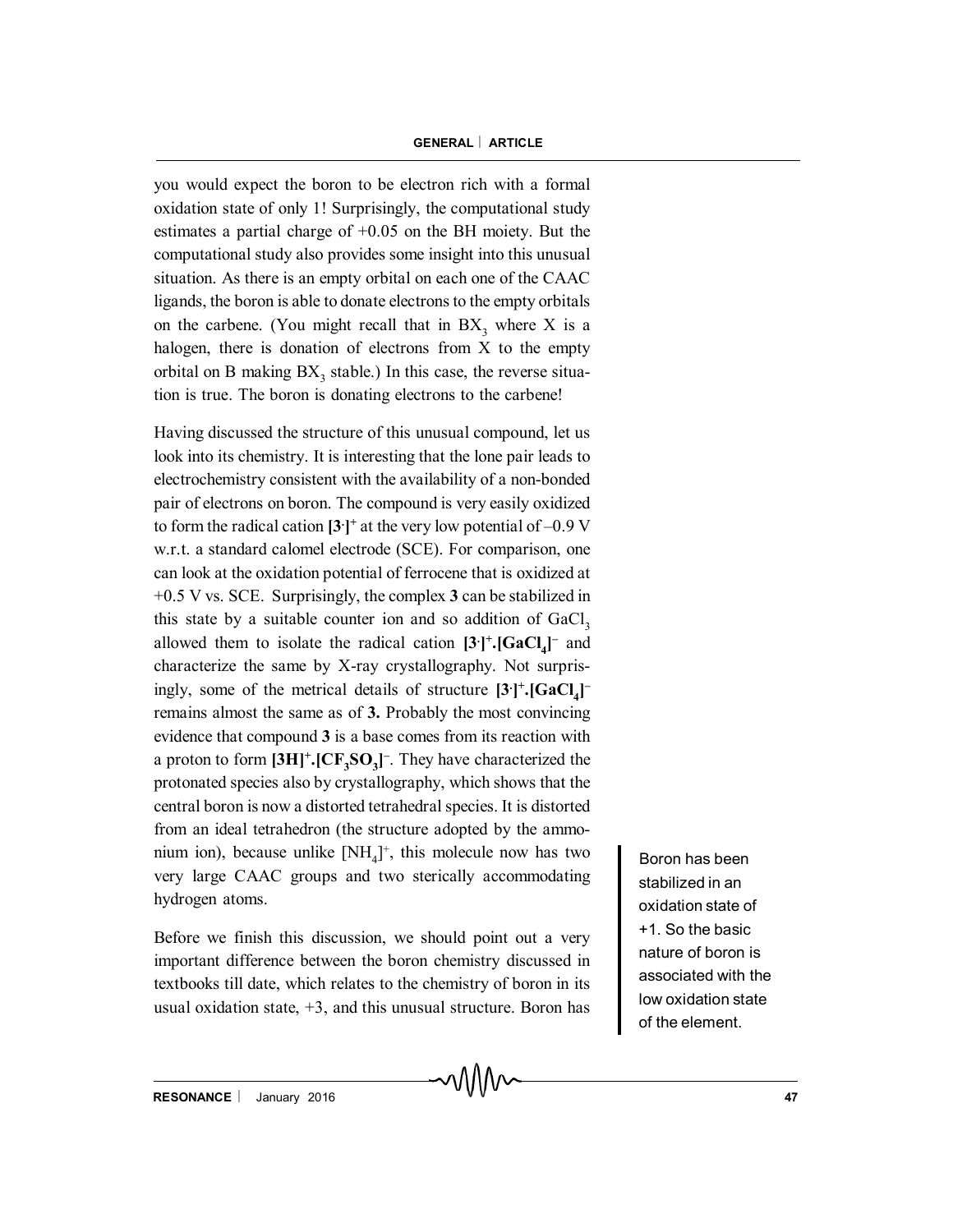you would expect the boron to be electron rich with a formal oxidation state of only 1! Surprisingly, the computational study estimates a partial charge of +0.05 on the BH moiety. But the computational study also provides some insight into this unusual situation. As there is an empty orbital on each one of the CAAC ligands, the boron is able to donate electrons to the empty orbitals on the carbene. (You might recall that in  $BX_3$  where X is a halogen, there is donation of electrons from X to the empty orbital on B making  $BX_3$  stable.) In this case, the reverse situation is true. The boron is donating electrons to the carbene!

Having discussed the structure of this unusual compound, let us look into its chemistry. It is interesting that the lone pair leads to electrochemistry consistent with the availability of a non-bonded pair of electrons on boron. The compound is very easily oxidized to form the radical cation **[3. ] <sup>+</sup>** at the very low potential of –0.9 V w.r.t. a standard calomel electrode (SCE). For comparison, one can look at the oxidation potential of ferrocene that is oxidized at +0.5 V vs. SCE. Surprisingly, the complex **3** can be stabilized in this state by a suitable counter ion and so addition of  $GaCl<sub>3</sub>$ allowed them to isolate the radical cation **[3. ] + .[GaCl 4 ] –** and characterize the same by X-ray crystallography. Not surprisingly, some of the metrical details of structure  $[3^{\text{+}}]$ **:**  $[GaCl_4]$ <sup>-</sup> remains almost the same as of **3.** Probably the most convincing evidence that compound **3** is a base comes from its reaction with a proton to form **[3H]<sup>+</sup> .[CF<sup>3</sup> SO<sup>3</sup> ] –** . They have characterized the protonated species also by crystallography, which shows that the central boron is now a distorted tetrahedral species. It is distorted from an ideal tetrahedron (the structure adopted by the ammonium ion), because unlike  $[NH_4]^+$ , this molecule now has two very large CAAC groups and two sterically accommodating hydrogen atoms.

Before we finish this discussion, we should point out a very important difference between the boron chemistry discussed in textbooks till date, which relates to the chemistry of boron in its usual oxidation state,  $+3$ , and this unusual structure. Boron has

Boron has been stabilized in an oxidation state of +1. So the basic nature of boron is associated with the low oxidation state of the element.